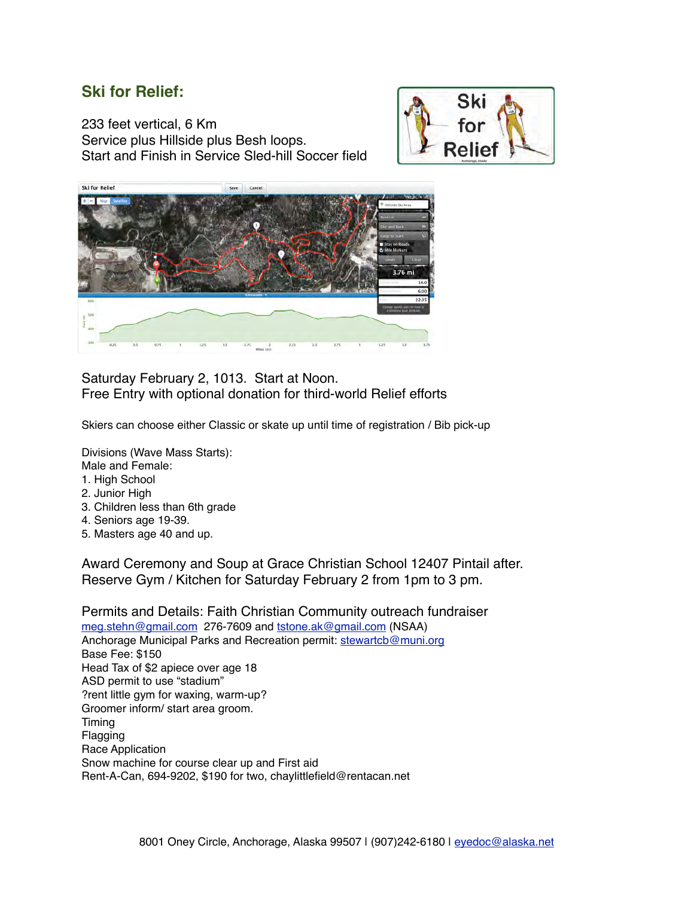## **Ski for Relief:**

233 feet vertical, 6 Km Service plus Hillside plus Besh loops. Start and Finish in Service Sled-hill Soccer field





Saturday February 2, 1013. Start at Noon. Free Entry with optional donation for third-world Relief efforts

Skiers can choose either Classic or skate up until time of registration / Bib pick-up

Divisions (Wave Mass Starts):

- Male and Female:
- 1. High School
- 2. Junior High
- 3. Children less than 6th grade
- 4. Seniors age 19-39.
- 5. Masters age 40 and up.

Award Ceremony and Soup at Grace Christian School 12407 Pintail after. Reserve Gym / Kitchen for Saturday February 2 from 1pm to 3 pm.

Permits and Details: Faith Christian Community outreach fundraiser [meg.stehn@gmail.com](mailto:meg.stehn@gmail.com) 276-7609 and [tstone.ak@gmail.com](mailto:tstone.ak@gmail.com) (NSAA) Anchorage Municipal Parks and Recreation permit: [stewartcb@muni.org](mailto:stewartcb@muni.org) Base Fee: \$150 Head Tax of \$2 apiece over age 18 ASD permit to use "stadium" ?rent little gym for waxing, warm-up? Groomer inform/ start area groom. Timing Flagging Race Application Snow machine for course clear up and First aid Rent-A-Can, 694-9202, \$190 for two, chaylittlefield@rentacan.net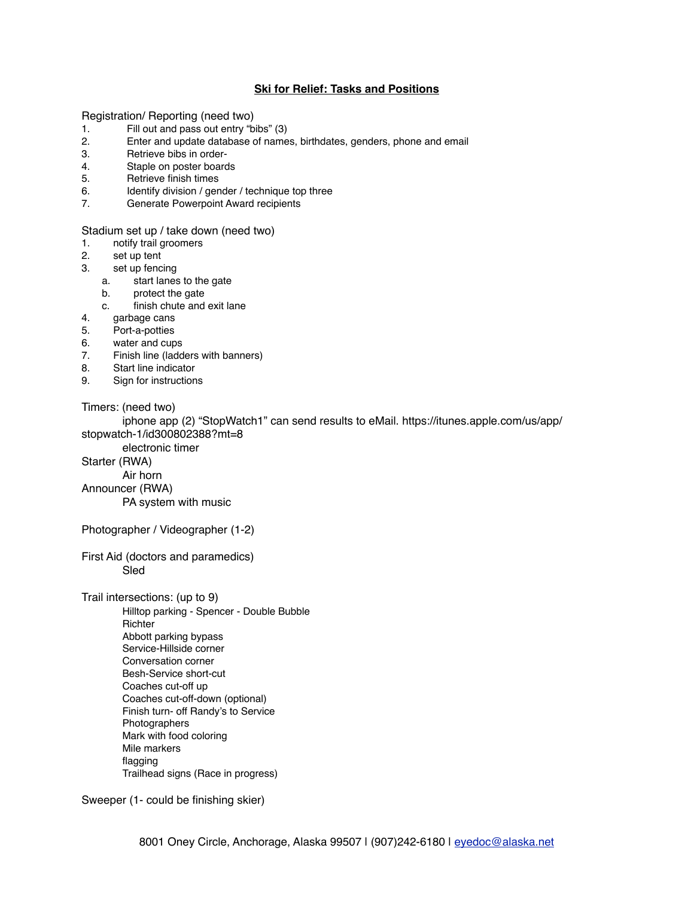## **Ski for Relief: Tasks and Positions**

Registration/ Reporting (need two)

- 1. Fill out and pass out entry "bibs" (3)
- 2. Enter and update database of names, birthdates, genders, phone and email
- 3. Retrieve bibs in order-
- 4. Staple on poster boards
- 5. Retrieve finish times
- 6. Identify division / gender / technique top three
- 7. Generate Powerpoint Award recipients

Stadium set up / take down (need two)

- 1. notify trail groomers<br>2. set up tent
- set up tent
- 3. set up fencing
	- a. start lanes to the gate
	- b. protect the gate
	- c. finish chute and exit lane
- 4. garbage cans
- 5. Port-a-potties
- 6. water and cups
- 7. Finish line (ladders with banners)
- 8. Start line indicator
- 9. Sign for instructions

Timers: (need two)

iphone app (2) "StopWatch1" can send results to eMail. https://itunes.apple.com/us/app/ stopwatch-1/id300802388?mt=8

electronic timer

Starter (RWA)

Air horn

Announcer (RWA)

PA system with music

Photographer / Videographer (1-2)

First Aid (doctors and paramedics) Sled

Trail intersections: (up to 9) Hilltop parking - Spencer - Double Bubble Richter Abbott parking bypass Service-Hillside corner Conversation corner Besh-Service short-cut Coaches cut-off up Coaches cut-off-down (optional) Finish turn- off Randy's to Service Photographers Mark with food coloring Mile markers flagging Trailhead signs (Race in progress)

Sweeper (1- could be finishing skier)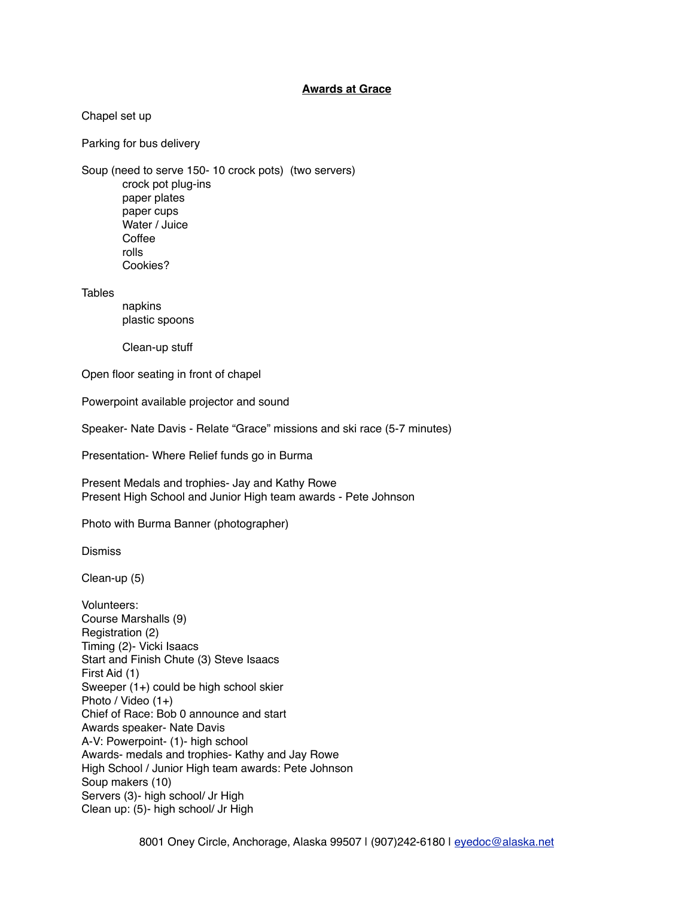## **Awards at Grace**

Chapel set up

Parking for bus delivery

Soup (need to serve 150- 10 crock pots) (two servers) crock pot plug-ins paper plates paper cups Water / Juice Coffee rolls Cookies?

**Tables** 

napkins plastic spoons

Clean-up stuff

Open floor seating in front of chapel

Powerpoint available projector and sound

Speaker- Nate Davis - Relate "Grace" missions and ski race (5-7 minutes)

Presentation- Where Relief funds go in Burma

Present Medals and trophies- Jay and Kathy Rowe Present High School and Junior High team awards - Pete Johnson

Photo with Burma Banner (photographer)

**Dismiss** 

Clean-up (5)

Volunteers: Course Marshalls (9) Registration (2) Timing (2)- Vicki Isaacs Start and Finish Chute (3) Steve Isaacs First Aid (1) Sweeper (1+) could be high school skier Photo / Video (1+) Chief of Race: Bob 0 announce and start Awards speaker- Nate Davis A-V: Powerpoint- (1)- high school Awards- medals and trophies- Kathy and Jay Rowe High School / Junior High team awards: Pete Johnson Soup makers (10) Servers (3)- high school/ Jr High Clean up: (5)- high school/ Jr High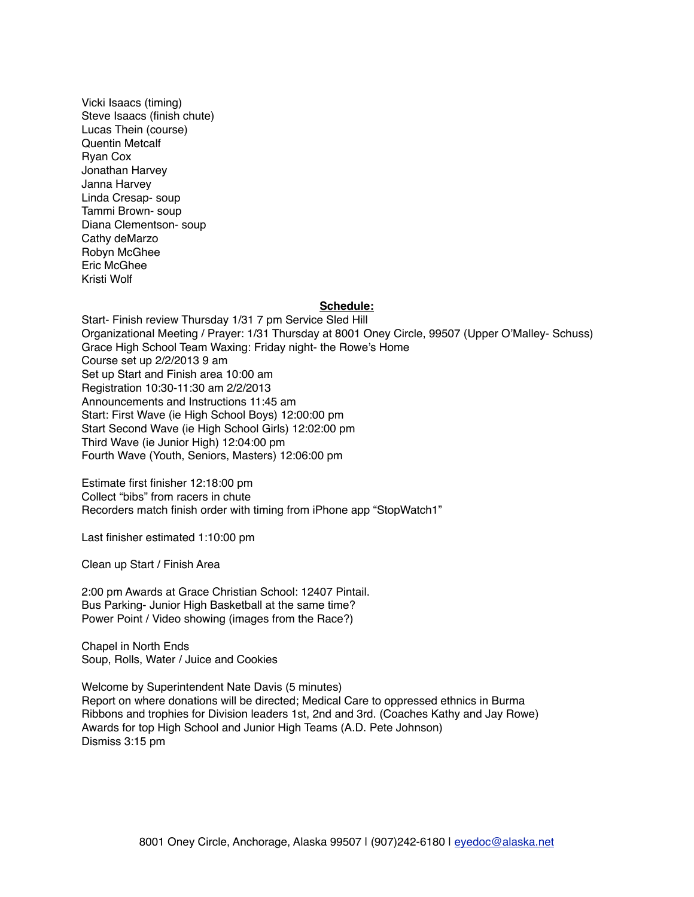Vicki Isaacs (timing) Steve Isaacs (finish chute) Lucas Thein (course) Quentin Metcalf Ryan Cox Jonathan Harvey Janna Harvey Linda Cresap- soup Tammi Brown- soup Diana Clementson- soup Cathy deMarzo Robyn McGhee Eric McGhee Kristi Wolf

## **Schedule:**

Start- Finish review Thursday 1/31 7 pm Service Sled Hill Organizational Meeting / Prayer: 1/31 Thursday at 8001 Oney Circle, 99507 (Upper O'Malley- Schuss) Grace High School Team Waxing: Friday night- the Rowe's Home Course set up 2/2/2013 9 am Set up Start and Finish area 10:00 am Registration 10:30-11:30 am 2/2/2013 Announcements and Instructions 11:45 am Start: First Wave (ie High School Boys) 12:00:00 pm Start Second Wave (ie High School Girls) 12:02:00 pm Third Wave (ie Junior High) 12:04:00 pm Fourth Wave (Youth, Seniors, Masters) 12:06:00 pm

Estimate first finisher 12:18:00 pm Collect "bibs" from racers in chute Recorders match finish order with timing from iPhone app "StopWatch1"

Last finisher estimated 1:10:00 pm

Clean up Start / Finish Area

2:00 pm Awards at Grace Christian School: 12407 Pintail. Bus Parking- Junior High Basketball at the same time? Power Point / Video showing (images from the Race?)

Chapel in North Ends Soup, Rolls, Water / Juice and Cookies

Welcome by Superintendent Nate Davis (5 minutes) Report on where donations will be directed; Medical Care to oppressed ethnics in Burma Ribbons and trophies for Division leaders 1st, 2nd and 3rd. (Coaches Kathy and Jay Rowe) Awards for top High School and Junior High Teams (A.D. Pete Johnson) Dismiss 3:15 pm